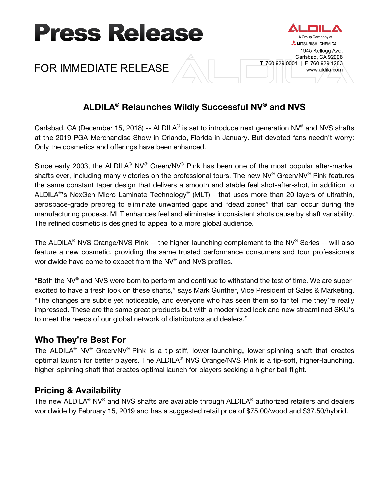



# **ALDILA® Relaunches Wildly Successful NV® and NVS**

Group Company of MITSUBISHI CHEMICAL 1945 Kellogg Ave. Carlsbad, CA 92008

www.aldila.com

T. 760.929.0001 | F. 760.929.1283

Carlsbad, CA (December 15, 2018) -- ALDILA<sup>®</sup> is set to introduce next generation NV<sup>®</sup> and NVS shafts at the 2019 PGA Merchandise Show in Orlando, Florida in January. But devoted fans needn't worry: Only the cosmetics and offerings have been enhanced.

Since early 2003, the ALDILA® NV® Green/NV® Pink has been one of the most popular after-market shafts ever, including many victories on the professional tours. The new NV® Green/NV® Pink features the same constant taper design that delivers a smooth and stable feel shot-after-shot, in addition to ALDILA<sup>®</sup>'s NexGen Micro Laminate Technology<sup>®</sup> (MLT) - that uses more than 20-layers of ultrathin, aerospace-grade prepreg to eliminate unwanted gaps and "dead zones" that can occur during the manufacturing process. MLT enhances feel and eliminates inconsistent shots cause by shaft variability. The refined cosmetic is designed to appeal to a more global audience.

The ALDILA<sup>®</sup> NVS Orange/NVS Pink -- the higher-launching complement to the NV<sup>®</sup> Series -- will also feature a new cosmetic, providing the same trusted performance consumers and tour professionals worldwide have come to expect from the NV® and NVS profiles.

"Both the NV® and NVS were born to perform and continue to withstand the test of time. We are superexcited to have a fresh look on these shafts," says Mark Gunther, Vice President of Sales & Marketing. "The changes are subtle yet noticeable, and everyone who has seen them so far tell me they're really impressed. These are the same great products but with a modernized look and new streamlined SKU's to meet the needs of our global network of distributors and dealers."

## **Who They're Best For**

The ALDILA® NV® Green/NV® Pink is a tip-stiff, lower-launching, lower-spinning shaft that creates optimal launch for better players. The ALDILA® NVS Orange/NVS Pink is a tip-soft, higher-launching, higher-spinning shaft that creates optimal launch for players seeking a higher ball flight.

## **Pricing & Availability**

The new ALDILA® NV® and NVS shafts are available through ALDILA® authorized retailers and dealers worldwide by February 15, 2019 and has a suggested retail price of \$75.00/wood and \$37.50/hybrid.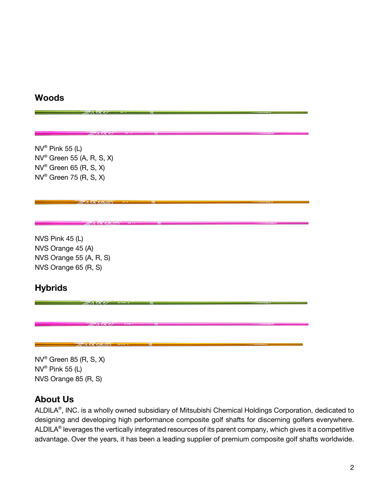### **Woods**

 $NV^{\circ}$  Pink 55 (L) NV® Green 55 (A, R, S, X) NV® Green 65 (R, S, X) NV® Green 75 (R, S, X)

EAVEVA

NVS Pink 45 (L) NVS Orange 45 (A) NVS Orange 55 (A, R, S) NVS Orange 65 (R, S)

## **Hybrids**

NV® Green 85 (R, S, X)  $NV^{\circ}$  Pink 55 (L) NVS Orange 85 (R, S)

ENRYSS

## **About Us**

ALDILA®, INC. is a wholly owned subsidiary of Mitsubishi Chemical Holdings Corporation, dedicated to designing and developing high performance composite golf shafts for discerning golfers everywhere. ALDILA<sup>®</sup> leverages the vertically integrated resources of its parent company, which gives it a competitive advantage. Over the years, it has been a leading supplier of premium composite golf shafts worldwide.